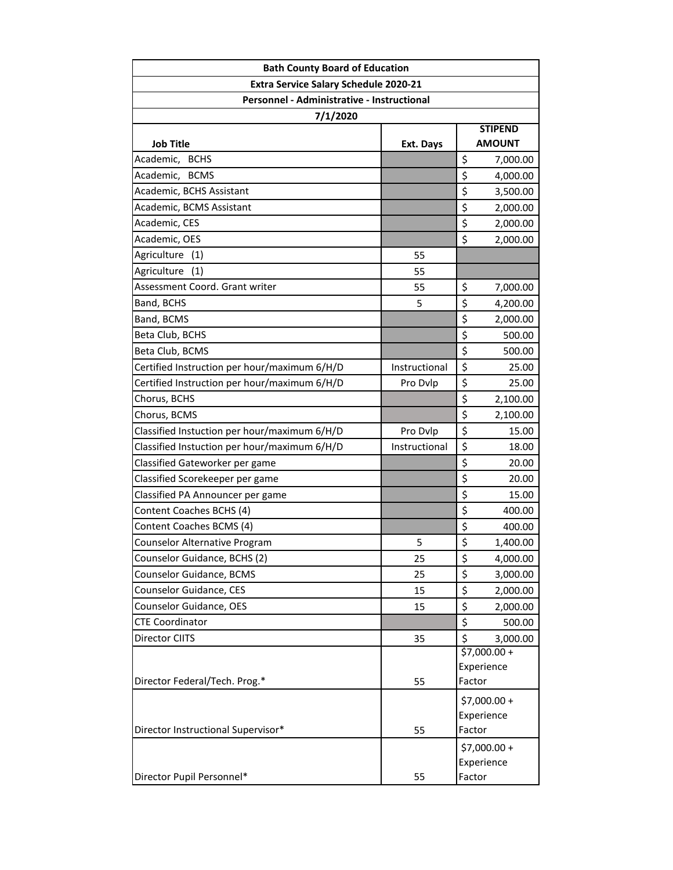| <b>Bath County Board of Education</b>                                                                  |               |                |  |                  |           |                                 |
|--------------------------------------------------------------------------------------------------------|---------------|----------------|--|------------------|-----------|---------------------------------|
| <b>Extra Service Salary Schedule 2020-21</b><br>Personnel - Administrative - Instructional<br>7/1/2020 |               |                |  |                  |           |                                 |
|                                                                                                        |               |                |  | <b>Job Title</b> | Ext. Days | <b>STIPEND</b><br><b>AMOUNT</b> |
|                                                                                                        |               |                |  | Academic, BCHS   |           | \$<br>7,000.00                  |
| Academic, BCMS                                                                                         |               | \$<br>4,000.00 |  |                  |           |                                 |
| Academic, BCHS Assistant                                                                               |               | \$<br>3,500.00 |  |                  |           |                                 |
| Academic, BCMS Assistant                                                                               |               | \$<br>2,000.00 |  |                  |           |                                 |
| Academic, CES                                                                                          |               | \$<br>2,000.00 |  |                  |           |                                 |
| Academic, OES                                                                                          |               | \$<br>2,000.00 |  |                  |           |                                 |
| Agriculture (1)                                                                                        | 55            |                |  |                  |           |                                 |
| Agriculture<br>(1)                                                                                     | 55            |                |  |                  |           |                                 |
| Assessment Coord. Grant writer                                                                         | 55            | \$<br>7,000.00 |  |                  |           |                                 |
| Band, BCHS                                                                                             | 5             | \$<br>4,200.00 |  |                  |           |                                 |
| Band, BCMS                                                                                             |               | \$<br>2,000.00 |  |                  |           |                                 |
| Beta Club, BCHS                                                                                        |               | \$<br>500.00   |  |                  |           |                                 |
| Beta Club, BCMS                                                                                        |               | \$<br>500.00   |  |                  |           |                                 |
| Certified Instruction per hour/maximum 6/H/D                                                           | Instructional | \$<br>25.00    |  |                  |           |                                 |
| Certified Instruction per hour/maximum 6/H/D                                                           | Pro Dvlp      | \$<br>25.00    |  |                  |           |                                 |
| Chorus, BCHS                                                                                           |               | \$<br>2,100.00 |  |                  |           |                                 |
| Chorus, BCMS                                                                                           |               | \$<br>2,100.00 |  |                  |           |                                 |
| Classified Instuction per hour/maximum 6/H/D                                                           | Pro Dvlp      | \$<br>15.00    |  |                  |           |                                 |
| Classified Instuction per hour/maximum 6/H/D                                                           | Instructional | \$<br>18.00    |  |                  |           |                                 |
| Classified Gateworker per game                                                                         |               | \$<br>20.00    |  |                  |           |                                 |
| Classified Scorekeeper per game                                                                        |               | \$<br>20.00    |  |                  |           |                                 |
| Classified PA Announcer per game                                                                       |               | \$<br>15.00    |  |                  |           |                                 |
| Content Coaches BCHS (4)                                                                               |               | \$<br>400.00   |  |                  |           |                                 |
| Content Coaches BCMS (4)                                                                               |               | \$<br>400.00   |  |                  |           |                                 |
| Counselor Alternative Program                                                                          | 5             | \$<br>1,400.00 |  |                  |           |                                 |
| Counselor Guidance, BCHS (2)                                                                           | 25            | \$<br>4,000.00 |  |                  |           |                                 |
| Counselor Guidance, BCMS                                                                               | 25            | \$<br>3,000.00 |  |                  |           |                                 |
| Counselor Guidance, CES                                                                                | 15            | \$<br>2,000.00 |  |                  |           |                                 |
| Counselor Guidance, OES                                                                                | 15            | \$<br>2,000.00 |  |                  |           |                                 |
| <b>CTE Coordinator</b>                                                                                 |               | \$<br>500.00   |  |                  |           |                                 |
| Director CIITS                                                                                         | 35            | \$<br>3,000.00 |  |                  |           |                                 |
|                                                                                                        |               | $$7,000.00 +$  |  |                  |           |                                 |
|                                                                                                        |               | Experience     |  |                  |           |                                 |
| Director Federal/Tech. Prog.*                                                                          | 55            | Factor         |  |                  |           |                                 |
|                                                                                                        |               | $$7,000.00+$   |  |                  |           |                                 |
|                                                                                                        |               | Experience     |  |                  |           |                                 |
| Director Instructional Supervisor*                                                                     | 55            | Factor         |  |                  |           |                                 |
|                                                                                                        |               | \$7,000.00 +   |  |                  |           |                                 |
|                                                                                                        |               | Experience     |  |                  |           |                                 |
| Director Pupil Personnel*                                                                              | 55            | Factor         |  |                  |           |                                 |